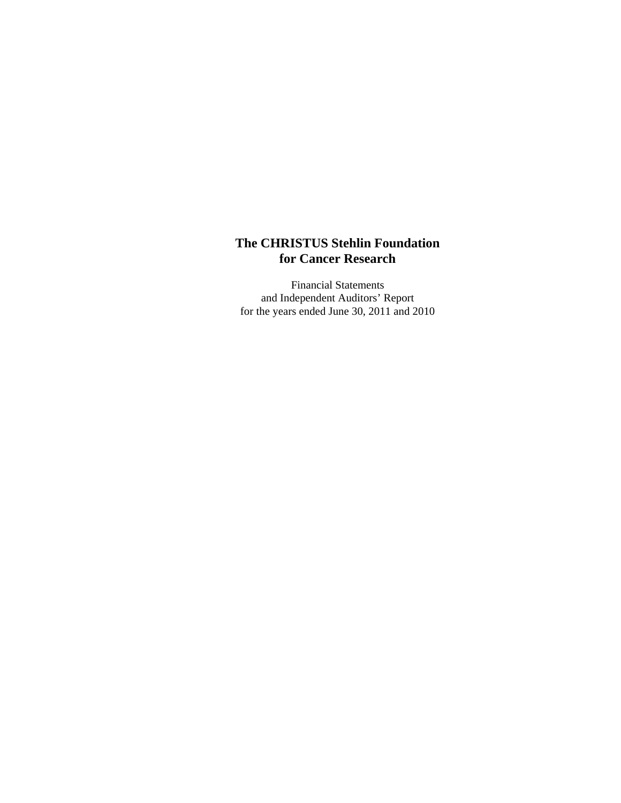Financial Statements and Independent Auditors' Report for the years ended June 30, 2011 and 2010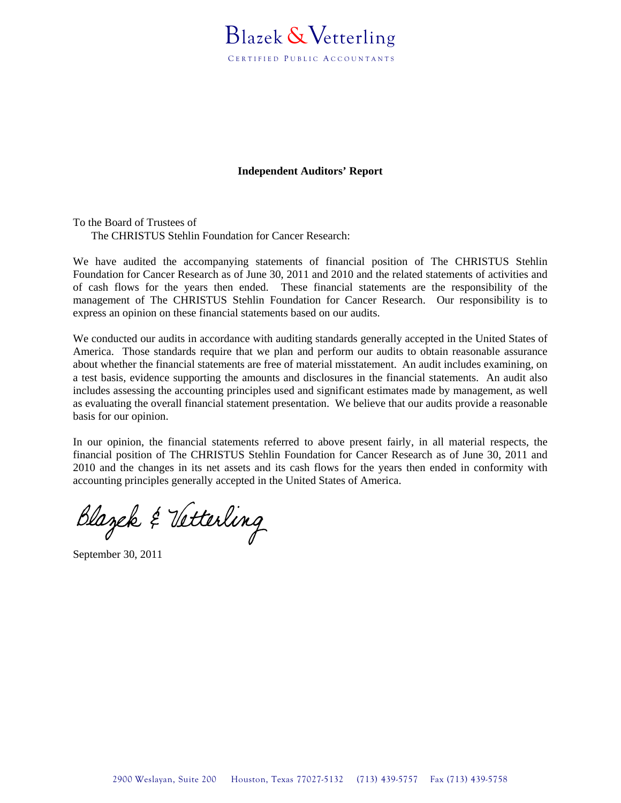# Blazek &Vetterling

CERTIFIED PUBLIC ACCOUNTANTS

#### **Independent Auditors' Report**

To the Board of Trustees of The CHRISTUS Stehlin Foundation for Cancer Research:

We have audited the accompanying statements of financial position of The CHRISTUS Stehlin Foundation for Cancer Research as of June 30, 2011 and 2010 and the related statements of activities and of cash flows for the years then ended. These financial statements are the responsibility of the management of The CHRISTUS Stehlin Foundation for Cancer Research. Our responsibility is to express an opinion on these financial statements based on our audits.

We conducted our audits in accordance with auditing standards generally accepted in the United States of America. Those standards require that we plan and perform our audits to obtain reasonable assurance about whether the financial statements are free of material misstatement. An audit includes examining, on a test basis, evidence supporting the amounts and disclosures in the financial statements. An audit also includes assessing the accounting principles used and significant estimates made by management, as well as evaluating the overall financial statement presentation. We believe that our audits provide a reasonable basis for our opinion.

In our opinion, the financial statements referred to above present fairly, in all material respects, the financial position of The CHRISTUS Stehlin Foundation for Cancer Research as of June 30, 2011 and 2010 and the changes in its net assets and its cash flows for the years then ended in conformity with accounting principles generally accepted in the United States of America.

Blazek & Vetterling

September 30, 2011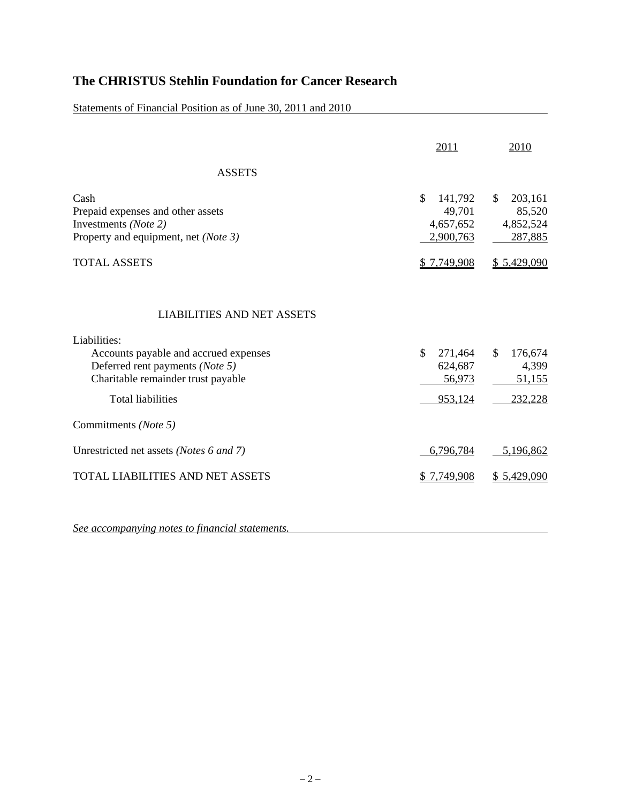Statements of Financial Position as of June 30, 2011 and 2010

|                                                                                                                                                                                                 | 2011                                              | 2010                                             |
|-------------------------------------------------------------------------------------------------------------------------------------------------------------------------------------------------|---------------------------------------------------|--------------------------------------------------|
| <b>ASSETS</b>                                                                                                                                                                                   |                                                   |                                                  |
| Cash<br>Prepaid expenses and other assets<br>Investments (Note 2)<br>Property and equipment, net (Note 3)                                                                                       | \$<br>141,792<br>49,701<br>4,657,652<br>2,900,763 | 203,161<br>\$.<br>85,520<br>4,852,524<br>287,885 |
| <b>TOTAL ASSETS</b>                                                                                                                                                                             | \$7,749,908                                       | \$5,429,090                                      |
| <b>LIABILITIES AND NET ASSETS</b><br>Liabilities:<br>Accounts payable and accrued expenses<br>Deferred rent payments (Note 5)<br>Charitable remainder trust payable<br><b>Total liabilities</b> | \$<br>271,464<br>624,687<br>56,973<br>953,124     | \$<br>176,674<br>4,399<br>51,155<br>232,228      |
| Commitments (Note 5)                                                                                                                                                                            |                                                   |                                                  |
| Unrestricted net assets (Notes 6 and 7)                                                                                                                                                         | 6,796,784                                         | 5,196,862                                        |
| <b>TOTAL LIABILITIES AND NET ASSETS</b>                                                                                                                                                         | <u>\$7,749,908</u>                                | \$5,429,090                                      |
|                                                                                                                                                                                                 |                                                   |                                                  |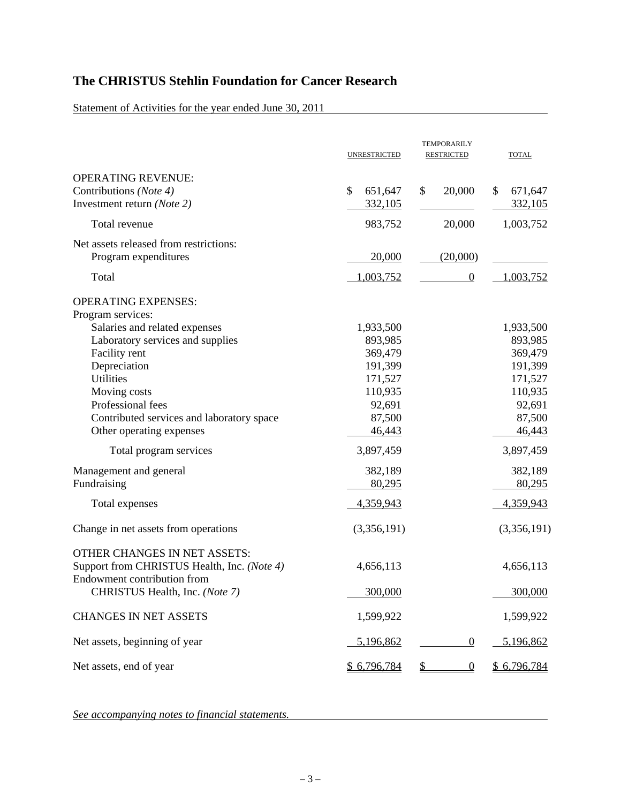Statement of Activities for the year ended June 30, 2011

|                                                                                                            | <b>UNRESTRICTED</b>      | <b>TEMPORARILY</b><br><b>RESTRICTED</b> | <b>TOTAL</b>             |
|------------------------------------------------------------------------------------------------------------|--------------------------|-----------------------------------------|--------------------------|
| <b>OPERATING REVENUE:</b><br>Contributions (Note 4)<br>Investment return (Note 2)                          | \$<br>651,647<br>332,105 | 20,000<br>\$                            | \$<br>671,647<br>332,105 |
| Total revenue                                                                                              | 983,752                  | 20,000                                  | 1,003,752                |
| Net assets released from restrictions:<br>Program expenditures                                             | 20,000                   | (20,000)                                |                          |
| Total                                                                                                      | 1,003,752                | $\boldsymbol{0}$                        | 1,003,752                |
| <b>OPERATING EXPENSES:</b><br>Program services:                                                            |                          |                                         |                          |
| Salaries and related expenses                                                                              | 1,933,500                |                                         | 1,933,500                |
| Laboratory services and supplies                                                                           | 893,985                  |                                         | 893,985                  |
| Facility rent                                                                                              | 369,479                  |                                         | 369,479                  |
| Depreciation                                                                                               | 191,399                  |                                         | 191,399                  |
| <b>Utilities</b>                                                                                           | 171,527                  |                                         | 171,527                  |
| Moving costs                                                                                               | 110,935                  |                                         | 110,935                  |
| Professional fees                                                                                          | 92,691                   |                                         | 92,691                   |
| Contributed services and laboratory space                                                                  | 87,500                   |                                         | 87,500                   |
| Other operating expenses                                                                                   | 46,443                   |                                         | 46,443                   |
| Total program services                                                                                     | 3,897,459                |                                         | 3,897,459                |
| Management and general                                                                                     | 382,189                  |                                         | 382,189                  |
| Fundraising                                                                                                | 80,295                   |                                         | 80,295                   |
| Total expenses                                                                                             | 4,359,943                |                                         | 4,359,943                |
| Change in net assets from operations                                                                       | (3,356,191)              |                                         | (3,356,191)              |
| OTHER CHANGES IN NET ASSETS:<br>Support from CHRISTUS Health, Inc. (Note 4)<br>Endowment contribution from | 4,656,113                |                                         | 4,656,113                |
| CHRISTUS Health, Inc. (Note 7)                                                                             | 300,000                  |                                         | 300,000                  |
| <b>CHANGES IN NET ASSETS</b>                                                                               | 1,599,922                |                                         | 1,599,922                |
| Net assets, beginning of year                                                                              | 5,196,862                | $\overline{0}$                          | 5,196,862                |
| Net assets, end of year                                                                                    | \$ 6,796,784             | $\overline{0}$<br>\$                    | \$ 6,796,784             |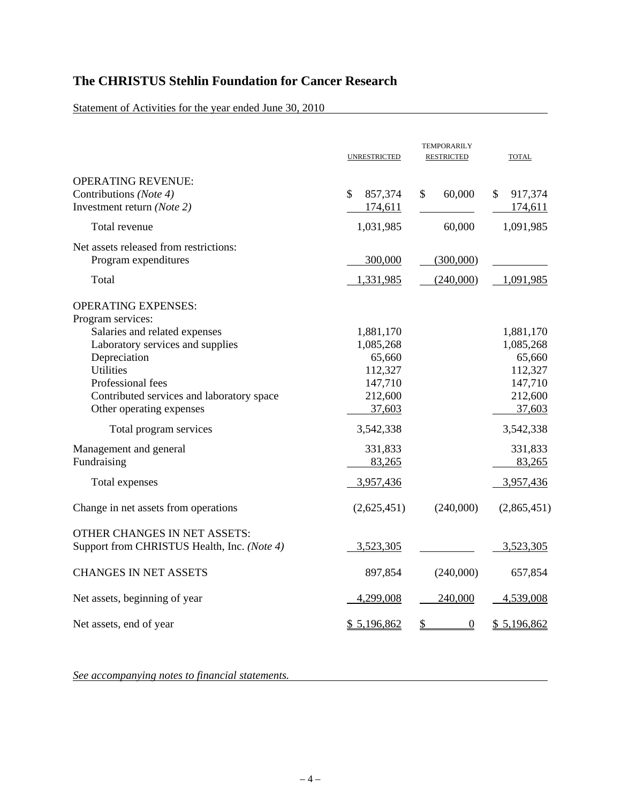Statement of Activities for the year ended June 30, 2010

|                                                                                                                                                                                                     | <b>UNRESTRICTED</b>                                                         | <b>TEMPORARILY</b><br><b>RESTRICTED</b> | <b>TOTAL</b>                                                                |
|-----------------------------------------------------------------------------------------------------------------------------------------------------------------------------------------------------|-----------------------------------------------------------------------------|-----------------------------------------|-----------------------------------------------------------------------------|
| <b>OPERATING REVENUE:</b><br>Contributions (Note 4)<br>Investment return (Note 2)                                                                                                                   | 857,374<br>\$<br>174,611                                                    | 60,000<br>\$                            | 917,374<br>\$.<br>174,611                                                   |
| Total revenue                                                                                                                                                                                       | 1,031,985                                                                   | 60,000                                  | 1,091,985                                                                   |
| Net assets released from restrictions:<br>Program expenditures                                                                                                                                      | 300,000                                                                     | (300,000)                               |                                                                             |
| Total                                                                                                                                                                                               | 1,331,985                                                                   | (240,000)                               | 1,091,985                                                                   |
| <b>OPERATING EXPENSES:</b><br>Program services:                                                                                                                                                     |                                                                             |                                         |                                                                             |
| Salaries and related expenses<br>Laboratory services and supplies<br>Depreciation<br><b>Utilities</b><br>Professional fees<br>Contributed services and laboratory space<br>Other operating expenses | 1,881,170<br>1,085,268<br>65,660<br>112,327<br>147,710<br>212,600<br>37,603 |                                         | 1,881,170<br>1,085,268<br>65,660<br>112,327<br>147,710<br>212,600<br>37,603 |
| Total program services                                                                                                                                                                              | 3,542,338                                                                   |                                         | 3,542,338                                                                   |
| Management and general<br>Fundraising                                                                                                                                                               | 331,833<br>83,265                                                           |                                         | 331,833<br>83,265                                                           |
| Total expenses                                                                                                                                                                                      | 3,957,436                                                                   |                                         | 3,957,436                                                                   |
| Change in net assets from operations                                                                                                                                                                | (2,625,451)                                                                 | (240,000)                               | (2,865,451)                                                                 |
| <b>OTHER CHANGES IN NET ASSETS:</b><br>Support from CHRISTUS Health, Inc. (Note 4)                                                                                                                  | 3,523,305                                                                   |                                         | 3,523,305                                                                   |
| <b>CHANGES IN NET ASSETS</b>                                                                                                                                                                        | 897,854                                                                     | (240,000)                               | 657,854                                                                     |
| Net assets, beginning of year                                                                                                                                                                       | 4,299,008                                                                   | 240,000                                 | 4,539,008                                                                   |
| Net assets, end of year                                                                                                                                                                             | \$5,196,862                                                                 | \$<br>$\overline{0}$                    | \$5,196,862                                                                 |

<u> 1980 - Johann Barn, mars ar breithinn ar breithinn ar breithinn ar breithinn ar breithinn ar breithinn ar br</u>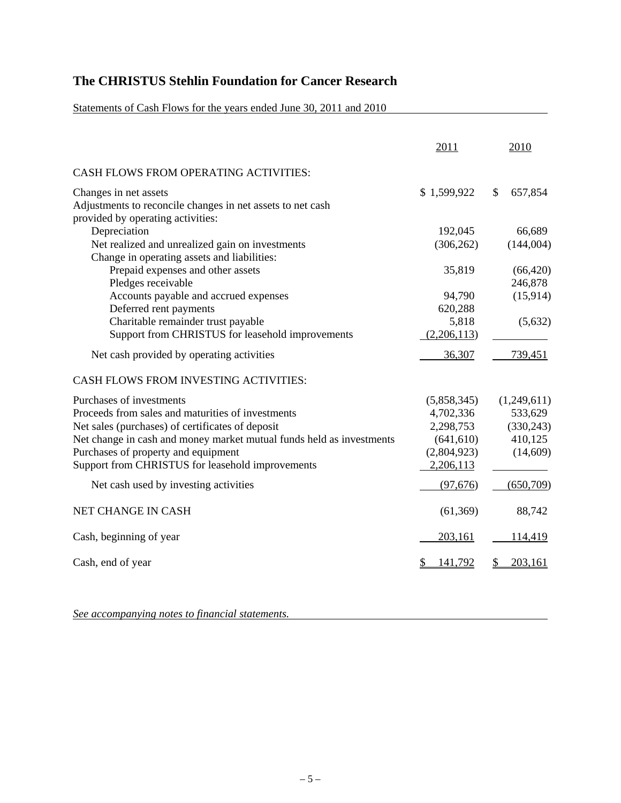Statements of Cash Flows for the years ended June 30, 2011 and 2010

|                                                                                                                          | 2011                 | 2010                    |
|--------------------------------------------------------------------------------------------------------------------------|----------------------|-------------------------|
| <b>CASH FLOWS FROM OPERATING ACTIVITIES:</b>                                                                             |                      |                         |
| Changes in net assets<br>Adjustments to reconcile changes in net assets to net cash<br>provided by operating activities: | \$1,599,922          | $\mathbb{S}$<br>657,854 |
| Depreciation                                                                                                             | 192,045              | 66,689                  |
| Net realized and unrealized gain on investments<br>Change in operating assets and liabilities:                           | (306, 262)           | (144,004)               |
| Prepaid expenses and other assets<br>Pledges receivable                                                                  | 35,819               | (66, 420)<br>246,878    |
| Accounts payable and accrued expenses<br>Deferred rent payments                                                          | 94,790<br>620,288    | (15,914)                |
| Charitable remainder trust payable<br>Support from CHRISTUS for leasehold improvements                                   | 5,818<br>(2,206,113) | (5,632)                 |
| Net cash provided by operating activities                                                                                | 36,307               | 739,451                 |
| CASH FLOWS FROM INVESTING ACTIVITIES:                                                                                    |                      |                         |
| Purchases of investments                                                                                                 | (5,858,345)          | (1,249,611)             |
| Proceeds from sales and maturities of investments                                                                        | 4,702,336            | 533,629                 |
| Net sales (purchases) of certificates of deposit                                                                         | 2,298,753            | (330, 243)              |
| Net change in cash and money market mutual funds held as investments                                                     | (641, 610)           | 410,125                 |
| Purchases of property and equipment                                                                                      | (2,804,923)          | (14,609)                |
| Support from CHRISTUS for leasehold improvements                                                                         | 2,206,113            |                         |
| Net cash used by investing activities                                                                                    | (97,676)             | (650,709)               |
| NET CHANGE IN CASH                                                                                                       | (61, 369)            | 88,742                  |
| Cash, beginning of year                                                                                                  | 203,161              | 114,419                 |
| Cash, end of year                                                                                                        | 141,792              | 203,161                 |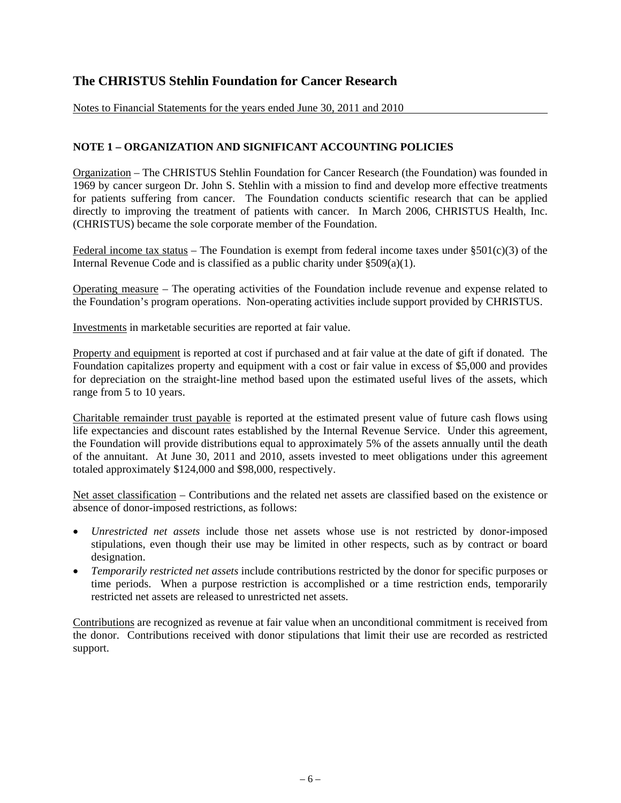Notes to Financial Statements for the years ended June 30, 2011 and 2010

#### **NOTE 1 – ORGANIZATION AND SIGNIFICANT ACCOUNTING POLICIES**

Organization – The CHRISTUS Stehlin Foundation for Cancer Research (the Foundation) was founded in 1969 by cancer surgeon Dr. John S. Stehlin with a mission to find and develop more effective treatments for patients suffering from cancer. The Foundation conducts scientific research that can be applied directly to improving the treatment of patients with cancer. In March 2006, CHRISTUS Health, Inc. (CHRISTUS) became the sole corporate member of the Foundation.

Federal income tax status – The Foundation is exempt from federal income taxes under  $\S501(c)(3)$  of the Internal Revenue Code and is classified as a public charity under §509(a)(1).

Operating measure – The operating activities of the Foundation include revenue and expense related to the Foundation's program operations. Non-operating activities include support provided by CHRISTUS.

Investments in marketable securities are reported at fair value.

Property and equipment is reported at cost if purchased and at fair value at the date of gift if donated. The Foundation capitalizes property and equipment with a cost or fair value in excess of \$5,000 and provides for depreciation on the straight-line method based upon the estimated useful lives of the assets, which range from 5 to 10 years.

Charitable remainder trust payable is reported at the estimated present value of future cash flows using life expectancies and discount rates established by the Internal Revenue Service. Under this agreement, the Foundation will provide distributions equal to approximately 5% of the assets annually until the death of the annuitant. At June 30, 2011 and 2010, assets invested to meet obligations under this agreement totaled approximately \$124,000 and \$98,000, respectively.

Net asset classification – Contributions and the related net assets are classified based on the existence or absence of donor-imposed restrictions, as follows:

- *Unrestricted net assets* include those net assets whose use is not restricted by donor-imposed stipulations, even though their use may be limited in other respects, such as by contract or board designation.
- *Temporarily restricted net assets* include contributions restricted by the donor for specific purposes or time periods. When a purpose restriction is accomplished or a time restriction ends, temporarily restricted net assets are released to unrestricted net assets.

Contributions are recognized as revenue at fair value when an unconditional commitment is received from the donor. Contributions received with donor stipulations that limit their use are recorded as restricted support.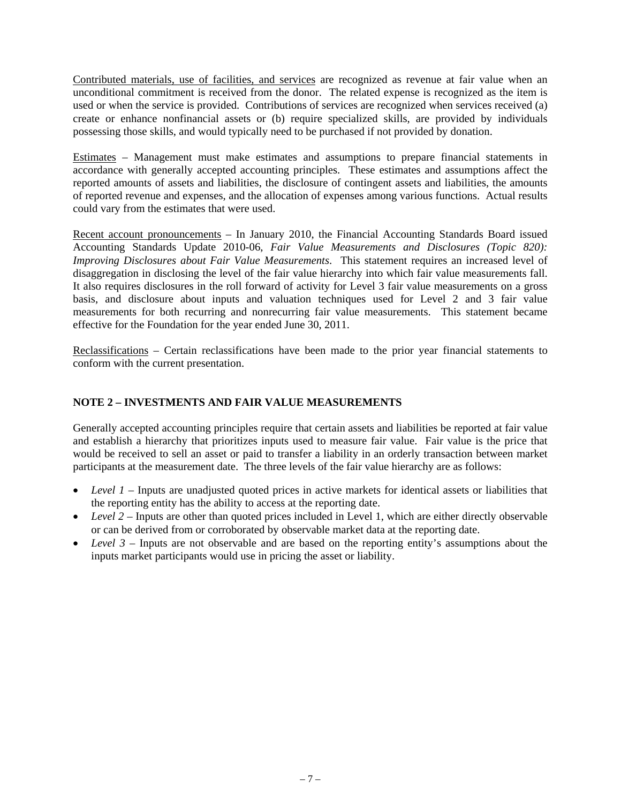Contributed materials, use of facilities, and services are recognized as revenue at fair value when an unconditional commitment is received from the donor. The related expense is recognized as the item is used or when the service is provided. Contributions of services are recognized when services received (a) create or enhance nonfinancial assets or (b) require specialized skills, are provided by individuals possessing those skills, and would typically need to be purchased if not provided by donation.

Estimates – Management must make estimates and assumptions to prepare financial statements in accordance with generally accepted accounting principles. These estimates and assumptions affect the reported amounts of assets and liabilities, the disclosure of contingent assets and liabilities, the amounts of reported revenue and expenses, and the allocation of expenses among various functions. Actual results could vary from the estimates that were used.

Recent account pronouncements – In January 2010, the Financial Accounting Standards Board issued Accounting Standards Update 2010-06, *Fair Value Measurements and Disclosures (Topic 820): Improving Disclosures about Fair Value Measurements*. This statement requires an increased level of disaggregation in disclosing the level of the fair value hierarchy into which fair value measurements fall. It also requires disclosures in the roll forward of activity for Level 3 fair value measurements on a gross basis, and disclosure about inputs and valuation techniques used for Level 2 and 3 fair value measurements for both recurring and nonrecurring fair value measurements. This statement became effective for the Foundation for the year ended June 30, 2011.

Reclassifications – Certain reclassifications have been made to the prior year financial statements to conform with the current presentation.

## **NOTE 2 – INVESTMENTS AND FAIR VALUE MEASUREMENTS**

Generally accepted accounting principles require that certain assets and liabilities be reported at fair value and establish a hierarchy that prioritizes inputs used to measure fair value. Fair value is the price that would be received to sell an asset or paid to transfer a liability in an orderly transaction between market participants at the measurement date. The three levels of the fair value hierarchy are as follows:

- *Level 1* Inputs are unadjusted quoted prices in active markets for identical assets or liabilities that the reporting entity has the ability to access at the reporting date.
- Level 2 Inputs are other than quoted prices included in Level 1, which are either directly observable or can be derived from or corroborated by observable market data at the reporting date.
- *Level 3* Inputs are not observable and are based on the reporting entity's assumptions about the inputs market participants would use in pricing the asset or liability.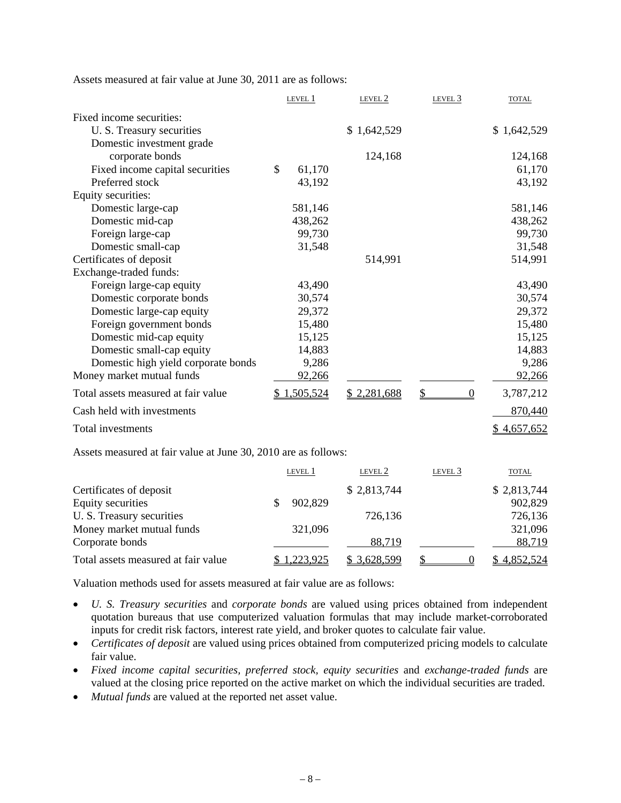| Assets measured at fair value at June 30, 2011 are as follows: |  |  |
|----------------------------------------------------------------|--|--|
|----------------------------------------------------------------|--|--|

|                                                                | LEVEL 1       | LEVEL 2      | LEVEL <sub>3</sub>                | <b>TOTAL</b> |
|----------------------------------------------------------------|---------------|--------------|-----------------------------------|--------------|
| Fixed income securities:                                       |               |              |                                   |              |
| U. S. Treasury securities                                      |               | \$1,642,529  |                                   | \$1,642,529  |
| Domestic investment grade                                      |               |              |                                   |              |
| corporate bonds                                                |               | 124,168      |                                   | 124,168      |
| Fixed income capital securities                                | \$<br>61,170  |              |                                   | 61,170       |
| Preferred stock                                                | 43,192        |              |                                   | 43,192       |
| Equity securities:                                             |               |              |                                   |              |
| Domestic large-cap                                             | 581,146       |              |                                   | 581,146      |
| Domestic mid-cap                                               | 438,262       |              |                                   | 438,262      |
| Foreign large-cap                                              | 99,730        |              |                                   | 99,730       |
| Domestic small-cap                                             | 31,548        |              |                                   | 31,548       |
| Certificates of deposit                                        |               | 514,991      |                                   | 514,991      |
| Exchange-traded funds:                                         |               |              |                                   |              |
| Foreign large-cap equity                                       | 43,490        |              |                                   | 43,490       |
| Domestic corporate bonds                                       | 30,574        |              |                                   | 30,574       |
| Domestic large-cap equity                                      | 29,372        |              |                                   | 29,372       |
| Foreign government bonds                                       | 15,480        |              |                                   | 15,480       |
| Domestic mid-cap equity                                        | 15,125        |              |                                   | 15,125       |
| Domestic small-cap equity                                      | 14,883        |              |                                   | 14,883       |
| Domestic high yield corporate bonds                            | 9,286         |              |                                   | 9,286        |
| Money market mutual funds                                      | 92,266        |              |                                   | 92,266       |
| Total assets measured at fair value                            | \$1,505,524   | \$2,281,688  | $\mathsf{\$}$<br>$\boldsymbol{0}$ | 3,787,212    |
| Cash held with investments                                     |               |              |                                   | 870,440      |
| Total investments                                              |               |              |                                   | \$4,657,652  |
| Assets measured at fair value at June 30, 2010 are as follows: |               |              |                                   |              |
|                                                                | LEVEL 1       | LEVEL 2      | LEVEL <sub>3</sub>                | <b>TOTAL</b> |
| Certificates of deposit                                        |               | \$2,813,744  |                                   | \$2,813,744  |
| <b>Equity securities</b>                                       | \$<br>902,829 |              |                                   | 902,829      |
| U. S. Treasury securities                                      |               | 726,136      |                                   | 726,136      |
| Money market mutual funds                                      | 321,096       |              |                                   | 321,096      |
| Corporate bonds                                                |               | 88,719       |                                   | 88,719       |
| Total assets measured at fair value                            | \$1,223,925   | \$ 3,628,599 | \$<br>$\overline{0}$              | \$4,852,524  |
|                                                                |               |              |                                   |              |

Valuation methods used for assets measured at fair value are as follows:

- *U. S. Treasury securities* and *corporate bonds* are valued using prices obtained from independent quotation bureaus that use computerized valuation formulas that may include market-corroborated inputs for credit risk factors, interest rate yield, and broker quotes to calculate fair value.
- *Certificates of deposit* are valued using prices obtained from computerized pricing models to calculate fair value.
- *Fixed income capital securities, preferred stock, equity securities* and *exchange-traded funds* are valued at the closing price reported on the active market on which the individual securities are traded.
- *Mutual funds* are valued at the reported net asset value.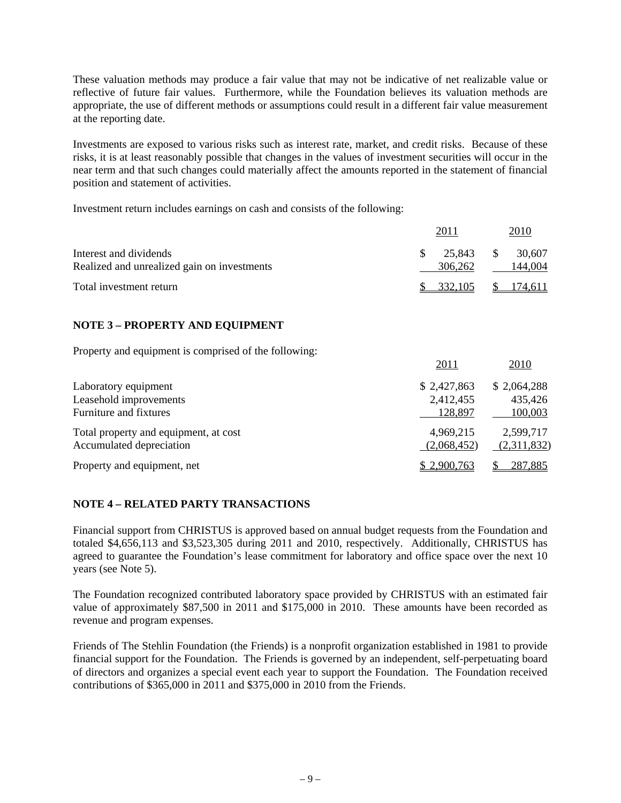These valuation methods may produce a fair value that may not be indicative of net realizable value or reflective of future fair values. Furthermore, while the Foundation believes its valuation methods are appropriate, the use of different methods or assumptions could result in a different fair value measurement at the reporting date.

Investments are exposed to various risks such as interest rate, market, and credit risks. Because of these risks, it is at least reasonably possible that changes in the values of investment securities will occur in the near term and that such changes could materially affect the amounts reported in the statement of financial position and statement of activities.

2011 2010

Investment return includes earnings on cash and consists of the following:

|                                                                          | 2011                                | 2010                              |
|--------------------------------------------------------------------------|-------------------------------------|-----------------------------------|
| Interest and dividends<br>Realized and unrealized gain on investments    | \$<br>25,843<br>306,262             | \$<br>30,607<br>144,004           |
| Total investment return                                                  | 332,105<br>\$                       | 174,611<br>S                      |
|                                                                          |                                     |                                   |
| <b>NOTE 3 - PROPERTY AND EQUIPMENT</b>                                   |                                     |                                   |
| Property and equipment is comprised of the following:                    |                                     |                                   |
|                                                                          | 2011                                | 2010                              |
| Laboratory equipment<br>Leasehold improvements<br>Furniture and fixtures | \$2,427,863<br>2,412,455<br>128,897 | \$2,064,288<br>435,426<br>100,003 |
| Total property and equipment, at cost<br>Accumulated depreciation        | 4,969,215<br>(2,068,452)            | 2,599,717<br>(2,311,832)          |
| Property and equipment, net                                              | 2,900,763                           | 287,885                           |

## **NOTE 4 – RELATED PARTY TRANSACTIONS**

Financial support from CHRISTUS is approved based on annual budget requests from the Foundation and totaled \$4,656,113 and \$3,523,305 during 2011 and 2010, respectively. Additionally, CHRISTUS has agreed to guarantee the Foundation's lease commitment for laboratory and office space over the next 10 years (see Note 5).

The Foundation recognized contributed laboratory space provided by CHRISTUS with an estimated fair value of approximately \$87,500 in 2011 and \$175,000 in 2010. These amounts have been recorded as revenue and program expenses.

Friends of The Stehlin Foundation (the Friends) is a nonprofit organization established in 1981 to provide financial support for the Foundation. The Friends is governed by an independent, self-perpetuating board of directors and organizes a special event each year to support the Foundation. The Foundation received contributions of \$365,000 in 2011 and \$375,000 in 2010 from the Friends.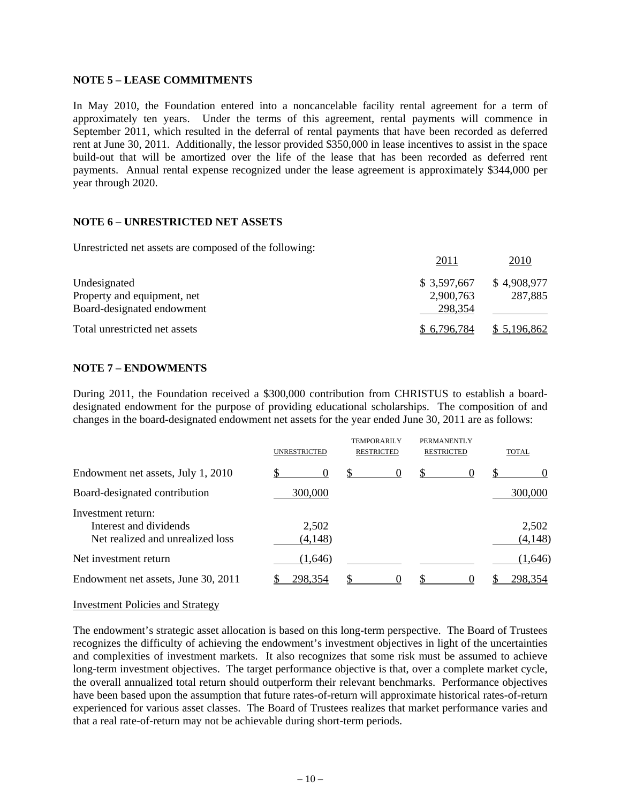#### **NOTE 5 – LEASE COMMITMENTS**

In May 2010, the Foundation entered into a noncancelable facility rental agreement for a term of approximately ten years. Under the terms of this agreement, rental payments will commence in September 2011, which resulted in the deferral of rental payments that have been recorded as deferred rent at June 30, 2011. Additionally, the lessor provided \$350,000 in lease incentives to assist in the space build-out that will be amortized over the life of the lease that has been recorded as deferred rent payments. Annual rental expense recognized under the lease agreement is approximately \$344,000 per year through 2020.

#### **NOTE 6 – UNRESTRICTED NET ASSETS**

Unrestricted net assets are composed of the following:

|                               | 2011         | 2010        |
|-------------------------------|--------------|-------------|
| Undesignated                  | \$ 3,597,667 | \$4,908,977 |
| Property and equipment, net   | 2,900,763    | 287,885     |
| Board-designated endowment    | 298,354      |             |
| Total unrestricted net assets | \$6,796,784  | \$5,196,862 |

#### **NOTE 7 – ENDOWMENTS**

During 2011, the Foundation received a \$300,000 contribution from CHRISTUS to establish a boarddesignated endowment for the purpose of providing educational scholarships. The composition of and changes in the board-designated endowment net assets for the year ended June 30, 2011 are as follows:

|                                                                                  | <b>UNRESTRICTED</b> | <b>TEMPORARILY</b><br><b>RESTRICTED</b> | PERMANENTLY<br><b>RESTRICTED</b> | <b>TOTAL</b>      |
|----------------------------------------------------------------------------------|---------------------|-----------------------------------------|----------------------------------|-------------------|
| Endowment net assets, July 1, 2010                                               | 0                   | \$.<br>$\theta$                         | <b>S</b><br>$\theta$             |                   |
| Board-designated contribution                                                    | 300,000             |                                         |                                  | 300,000           |
| Investment return:<br>Interest and dividends<br>Net realized and unrealized loss | 2,502<br>(4, 148)   |                                         |                                  | 2,502<br>(4, 148) |
| Net investment return                                                            | (1,646)             |                                         |                                  | (1,646)           |
| Endowment net assets, June 30, 2011                                              | 298,354             |                                         |                                  | 298,354           |

#### Investment Policies and Strategy

The endowment's strategic asset allocation is based on this long-term perspective. The Board of Trustees recognizes the difficulty of achieving the endowment's investment objectives in light of the uncertainties and complexities of investment markets. It also recognizes that some risk must be assumed to achieve long-term investment objectives. The target performance objective is that, over a complete market cycle, the overall annualized total return should outperform their relevant benchmarks. Performance objectives have been based upon the assumption that future rates-of-return will approximate historical rates-of-return experienced for various asset classes. The Board of Trustees realizes that market performance varies and that a real rate-of-return may not be achievable during short-term periods.